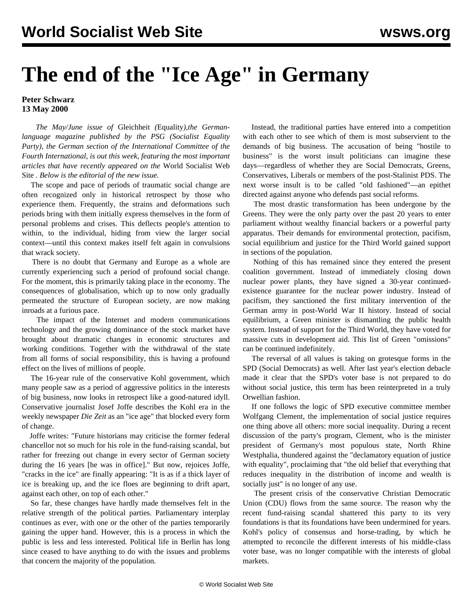## **The end of the "Ice Age" in Germany**

## **Peter Schwarz 13 May 2000**

 *The May/June issue of* Gleichheit *(*Equality*),the Germanlanguage magazine published by the PSG (Socialist Equality Party), the German section of the International Committee of the Fourth International, is out this week, featuring the most important articles that have recently appeared on the* World Socialist Web Site *. Below is the editorial of the new issue.*

 The scope and pace of periods of traumatic social change are often recognized only in historical retrospect by those who experience them. Frequently, the strains and deformations such periods bring with them initially express themselves in the form of personal problems and crises. This deflects people's attention to within, to the individual, hiding from view the larger social context—until this context makes itself felt again in convulsions that wrack society.

 There is no doubt that Germany and Europe as a whole are currently experiencing such a period of profound social change. For the moment, this is primarily taking place in the economy. The consequences of globalisation, which up to now only gradually permeated the structure of European society, are now making inroads at a furious pace.

 The impact of the Internet and modern communications technology and the growing dominance of the stock market have brought about dramatic changes in economic structures and working conditions. Together with the withdrawal of the state from all forms of social responsibility, this is having a profound effect on the lives of millions of people.

 The 16-year rule of the conservative Kohl government, which many people saw as a period of aggressive politics in the interests of big business, now looks in retrospect like a good-natured idyll. Conservative journalist Josef Joffe describes the Kohl era in the weekly newspaper *Die Zeit* as an "ice age" that blocked every form of change.

 Joffe writes: "Future historians may criticise the former federal chancellor not so much for his role in the fund-raising scandal, but rather for freezing out change in every sector of German society during the 16 years [he was in office]." But now, rejoices Joffe, "cracks in the ice" are finally appearing: "It is as if a thick layer of ice is breaking up, and the ice floes are beginning to drift apart, against each other, on top of each other."

 So far, these changes have hardly made themselves felt in the relative strength of the political parties. Parliamentary interplay continues as ever, with one or the other of the parties temporarily gaining the upper hand. However, this is a process in which the public is less and less interested. Political life in Berlin has long since ceased to have anything to do with the issues and problems that concern the majority of the population.

 Instead, the traditional parties have entered into a competition with each other to see which of them is most subservient to the demands of big business. The accusation of being "hostile to business" is the worst insult politicians can imagine these days—regardless of whether they are Social Democrats, Greens, Conservatives, Liberals or members of the post-Stalinist PDS. The next worse insult is to be called "old fashioned"—an epithet directed against anyone who defends past social reforms.

 The most drastic transformation has been undergone by the Greens. They were the only party over the past 20 years to enter parliament without wealthy financial backers or a powerful party apparatus. Their demands for environmental protection, pacifism, social equilibrium and justice for the Third World gained support in sections of the population.

 Nothing of this has remained since they entered the present coalition government. Instead of immediately closing down nuclear power plants, they have signed a 30-year continuedexistence guarantee for the nuclear power industry. Instead of pacifism, they sanctioned the first military intervention of the German army in post-World War II history. Instead of social equilibrium, a Green minister is dismantling the public health system. Instead of support for the Third World, they have voted for massive cuts in development aid. This list of Green "omissions" can be continued indefinitely.

 The reversal of all values is taking on grotesque forms in the SPD (Social Democrats) as well. After last year's election debacle made it clear that the SPD's voter base is not prepared to do without social justice, this term has been reinterpreted in a truly Orwellian fashion.

 If one follows the logic of SPD executive committee member Wolfgang Clement, the implementation of social justice requires one thing above all others: more social inequality. During a recent discussion of the party's program, Clement, who is the minister president of Germany's most populous state, North Rhine Westphalia, thundered against the "declamatory equation of justice with equality", proclaiming that "the old belief that everything that reduces inequality in the distribution of income and wealth is socially just" is no longer of any use.

 The present crisis of the conservative Christian Democratic Union (CDU) flows from the same source. The reason why the recent fund-raising scandal shattered this party to its very foundations is that its foundations have been undermined for years. Kohl's policy of consensus and horse-trading, by which he attempted to reconcile the different interests of his middle-class voter base, was no longer compatible with the interests of global markets.